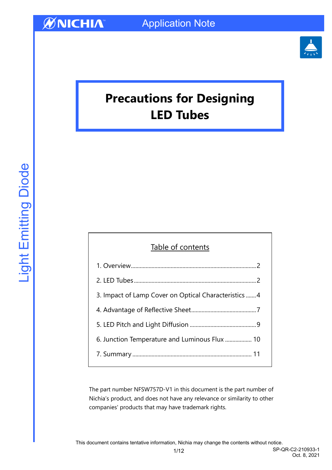

# **Precautions for Designing LED Tubes**

### Table of contents

| 3. Impact of Lamp Cover on Optical Characteristics4 |
|-----------------------------------------------------|
|                                                     |
|                                                     |
| 6. Junction Temperature and Luminous Flux  10       |
|                                                     |
|                                                     |

The part number NFSW757D-V1 in this document is the part number of Nichia's product, and does not have any relevance or similarity to other companies' products that may have trademark rights.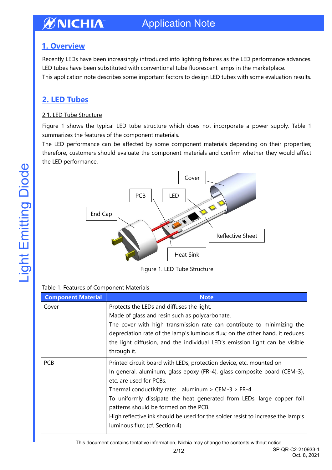### <span id="page-1-0"></span>**1. Overview**

Recently LEDs have been increasingly introduced into lighting fixtures as the LED performance advances. LED tubes have been substituted with conventional tube fluorescent lamps in the marketplace. This application note describes some important factors to design LED tubes with some evaluation results.

### <span id="page-1-1"></span>**2. LED Tubes**

#### 2.1. LED Tube Structure

Figure 1 shows the typical LED tube structure which does not incorporate a power supply. Table 1 summarizes the features of the component materials.

The LED performance can be affected by some component materials depending on their properties; therefore, customers should evaluate the component materials and confirm whether they would affect the LED performance.



Figure 1. LED Tube Structure

#### Table 1. Features of Component Materials

| <b>Component Material</b> | <b>Note</b>                                                                     |
|---------------------------|---------------------------------------------------------------------------------|
| Cover                     | Protects the LEDs and diffuses the light.                                       |
|                           | Made of glass and resin such as polycarbonate.                                  |
|                           | The cover with high transmission rate can contribute to minimizing the          |
|                           | depreciation rate of the lamp's luminous flux; on the other hand, it reduces    |
|                           | the light diffusion, and the individual LED's emission light can be visible     |
|                           | through it.                                                                     |
| <b>PCB</b>                | Printed circuit board with LEDs, protection device, etc. mounted on             |
|                           | In general, aluminum, glass epoxy (FR-4), glass composite board (CEM-3),        |
|                           | etc. are used for PCBs.                                                         |
|                           | Thermal conductivity rate: aluminum > CEM-3 > FR-4                              |
|                           | To uniformly dissipate the heat generated from LEDs, large copper foil          |
|                           | patterns should be formed on the PCB.                                           |
|                           | High reflective ink should be used for the solder resist to increase the lamp's |
|                           | luminous flux. (cf. Section 4)                                                  |

This document contains tentative information, Nichia may change the contents without notice.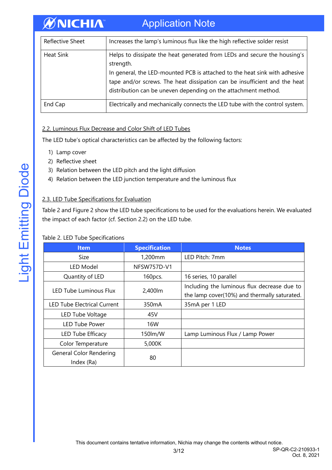#### **ØNICHIA** Application Note

| <b>Reflective Sheet</b> | Increases the lamp's luminous flux like the high reflective solder resist                                                                                                                                                                                                                                          |
|-------------------------|--------------------------------------------------------------------------------------------------------------------------------------------------------------------------------------------------------------------------------------------------------------------------------------------------------------------|
| <b>Heat Sink</b>        | Helps to dissipate the heat generated from LEDs and secure the housing's<br>strength.<br>In general, the LED-mounted PCB is attached to the heat sink with adhesive<br>tape and/or screws. The heat dissipation can be insufficient and the heat<br>distribution can be uneven depending on the attachment method. |
| End Cap                 | Electrically and mechanically connects the LED tube with the control system.                                                                                                                                                                                                                                       |

#### 2.2. Luminous Flux Decrease and Color Shift of LED Tubes

The LED tube's optical characteristics can be affected by the following factors:

- 1) Lamp cover
- 2) Reflective sheet
- 3) Relation between the LED pitch and the light diffusion
- 4) Relation between the LED junction temperature and the luminous flux

#### 2.3. LED Tube Specifications for Evaluation

Table 2 and Figure 2 show the LED tube specifications to be used for the evaluations herein. We evaluated the impact of each factor (cf. Section 2.2) on the LED tube.

#### Table 2. LED Tube Specifications

| <b>Item</b>                           | <b>Specification</b> | <b>Notes</b>                                                                                |
|---------------------------------------|----------------------|---------------------------------------------------------------------------------------------|
| Size                                  | 1,200mm              | LED Pitch: 7mm                                                                              |
| LED Model                             | NFSW757D-V1          |                                                                                             |
| Quantity of LED                       | 160pcs.              | 16 series, 10 parallel                                                                      |
| LED Tube Luminous Flux                | 2,400lm              | Including the luminous flux decrease due to<br>the lamp cover(10%) and thermally saturated. |
| <b>LED Tube Electrical Current</b>    | 350mA                | 35mA per 1 LED                                                                              |
| LED Tube Voltage                      | 45V                  |                                                                                             |
| <b>LED Tube Power</b>                 | 16W                  |                                                                                             |
| LED Tube Efficacy                     | 150lm/W              | Lamp Luminous Flux / Lamp Power                                                             |
| Color Temperature                     | 5,000K               |                                                                                             |
| General Color Rendering<br>Index (Ra) | 80                   |                                                                                             |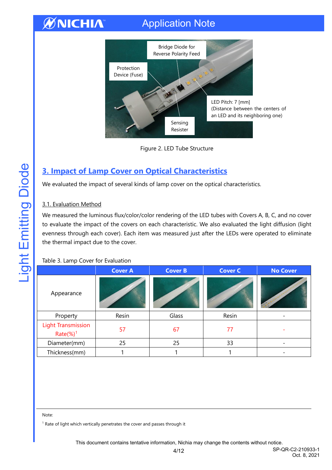## Application Note



Figure 2. LED Tube Structure

### <span id="page-3-0"></span>**3. Impact of Lamp Cover on Optical Characteristics**

We evaluated the impact of several kinds of lamp cover on the optical characteristics.

#### 3.1. Evaluation Method

We measured the luminous flux/color/color rendering of the LED tubes with Covers A, B, C, and no cover to evaluate the impact of the covers on each characteristic. We also evaluated the light diffusion (light evenness through each cover). Each item was measured just after the LEDs were operated to eliminate the thermal impact due to the cover.

#### Table 3. Lamp Cover for Evaluation

|                                                     | <b>Cover A</b> | <b>Cover B</b> | <b>Cover C</b> | <b>No Cover</b>   |
|-----------------------------------------------------|----------------|----------------|----------------|-------------------|
| Appearance                                          |                |                |                | O Giornichelister |
| Property                                            | Resin          | Glass          | Resin          | -                 |
| <b>Light Transmission</b><br>$Rate$ %) <sup>1</sup> | 57             | 67             | 77             |                   |
| Diameter(mm)                                        | 25             | 25             | 33             | -                 |
| Thickness(mm)                                       |                |                |                |                   |

Note:

<sup>1</sup> Rate of light which vertically penetrates the cover and passes through it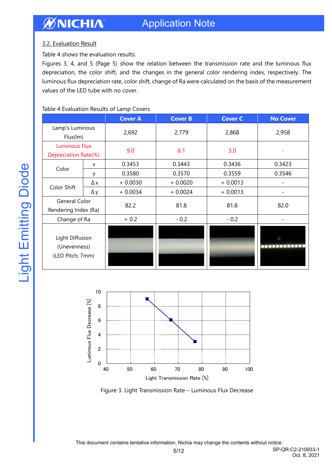#### 3.2. Evaluation Result

Table 4 shows the evaluation results.

Figures 3, 4, and 5 (Page 5) show the relation between the transmission rate and the luminous flux depreciation, the color shift, and the changes in the general color rendering index, respectively. The luminous flux depreciation rate, color shift, change of Ra were calculated on the basis of the measurement values of the LED tube with no cover.

#### Table 4 Evaluation Results of Lamp Covers

|                                                     |            | <b>Cover A</b> | <b>Cover B</b> | <b>Cover C</b> | <b>No Cover</b> |
|-----------------------------------------------------|------------|----------------|----------------|----------------|-----------------|
| Lamp's Luminous<br>Flux(lm)                         |            | 2,692          | 2,779          | 2,868          | 2,958           |
| <b>Luminous Flux</b><br>Depreciation Rate(%)        |            | 9.0            | 6.1            | 3.0            |                 |
| Color                                               | X          | 0.3453         | 0.3443         | 0.3436         | 0.3423          |
|                                                     | У          | 0.3580         | 0.3570         | 0.3559         | 0.3546          |
|                                                     | Δx         | $+0.0030$      | $+0.0020$      | $+0.0013$      |                 |
| Color Shift                                         | $\Delta y$ | $+0.0034$      | $+0.0024$      | $+0.0013$      |                 |
| General Color<br>Rendering Index (Ra)               |            | 82.2           | 81.8           | 81.8           | 82.0            |
| Change of Ra                                        |            | $+0.2$         | $-0.2$         | $-0.2$         |                 |
| Light Diffusion<br>(Unevenness)<br>(LED Pitch; 7mm) |            |                |                |                |                 |





This document contains tentative information, Nichia may change the contents without notice.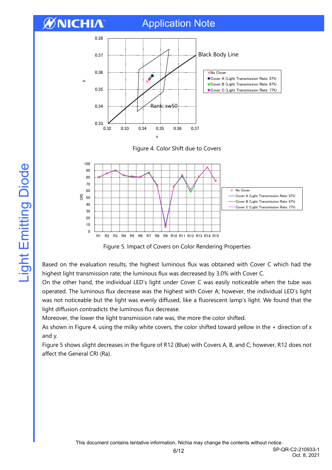### Application Note







Figure 5. Impact of Covers on Color Rendering Properties

Based on the evaluation results, the highest luminous flux was obtained with Cover C which had the highest light transmission rate; the luminous flux was decreased by 3.0% with Cover C.

On the other hand, the individual LED's light under Cover C was easily noticeable when the tube was operated. The luminous flux decrease was the highest with Cover A; however, the individual LED's light was not noticeable but the light was evenly diffused, like a fluorescent lamp's light. We found that the light diffusion contradicts the luminous flux decrease.

Moreover, the lower the light transmission rate was, the more the color shifted.

As shown in Figure 4, using the milky white covers, the color shifted toward yellow in the + direction of x and y.

Figure 5 shows slight decreases in the figure of R12 (Blue) with Covers A, B, and C; however, R12 does not affect the General CRI (Ra).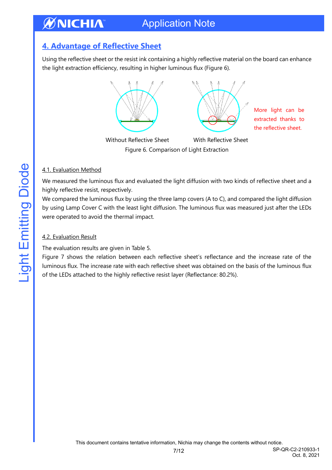### <span id="page-6-0"></span>**4. Advantage of Reflective Sheet**

Using the reflective sheet or the resist ink containing a highly reflective material on the board can enhance the light extraction efficiency, resulting in higher luminous flux (Figure 6).



More light can be extracted thanks to the reflective sheet.

Without Reflective Sheet With Reflective Sheet Figure 6. Comparison of Light Extraction

#### 4.1. Evaluation Method

We measured the luminous flux and evaluated the light diffusion with two kinds of reflective sheet and a highly reflective resist, respectively.

We compared the luminous flux by using the three lamp covers (A to C), and compared the light diffusion by using Lamp Cover C with the least light diffusion. The luminous flux was measured just after the LEDs were operated to avoid the thermal impact.

#### 4.2. Evaluation Result

The evaluation results are given in Table 5.

Figure 7 shows the relation between each reflective sheet's reflectance and the increase rate of the luminous flux. The increase rate with each reflective sheet was obtained on the basis of the luminous flux of the LEDs attached to the highly reflective resist layer (Reflectance: 80.2%).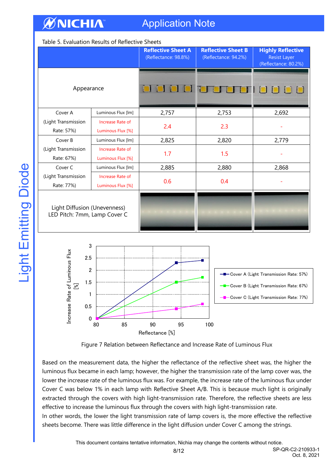## Application Note

#### Table 5. Evaluation Results of Reflective Sheets

|                                                              |                                       | <b>Reflective Sheet A</b><br>(Reflectance: 98.8%) | <b>Reflective Sheet B</b><br>(Reflectance: 94.2%) | <b>Highly Reflective</b><br><b>Resist Layer</b><br>(Reflectance: 80.2%)                      |
|--------------------------------------------------------------|---------------------------------------|---------------------------------------------------|---------------------------------------------------|----------------------------------------------------------------------------------------------|
| Appearance                                                   |                                       |                                                   |                                                   |                                                                                              |
| Cover A                                                      | Luminous Flux [lm]                    | 2,757                                             | 2,753                                             | 2,692                                                                                        |
| (Light Transmission<br>Rate: 57%)                            | Increase Rate of<br>Luminous Flux [%] | 2.4                                               | 2.3                                               |                                                                                              |
| Cover B                                                      | Luminous Flux [lm]                    | 2,825                                             | 2,820                                             | 2,779                                                                                        |
| (Light Transmission<br>Rate: 67%)                            | Increase Rate of<br>Luminous Flux [%] | 1.7                                               | 1.5                                               |                                                                                              |
| Cover C                                                      | Luminous Flux [lm]                    | 2,885                                             | 2,880                                             | 2,868                                                                                        |
| (Light Transmission<br>Rate: 77%)                            | Increase Rate of<br>Luminous Flux [%] | 0.6                                               | 0.4                                               |                                                                                              |
| Light Diffusion (Unevenness)<br>LED Pitch: 7mm, Lamp Cover C |                                       |                                                   |                                                   |                                                                                              |
| 3<br>Increase Rate of Luminous Flux<br>2.5<br>$\overline{2}$ |                                       |                                                   |                                                   | <b>-B</b> Cover A (Light Transmission Rate: 57%)                                             |
| 1.5<br>$\begin{bmatrix} \mathcal{N} \end{bmatrix}$<br>1      |                                       |                                                   |                                                   | - Cover B (Light Transmission Rate: 67%)<br><b>-D</b> Cover C (Light Transmission Rate: 77%) |
| 0.5<br>$\mathbf 0$                                           | 80<br>85                              | 90<br>95                                          | 100                                               |                                                                                              |



Reflectance [%]

Based on the measurement data, the higher the reflectance of the reflective sheet was, the higher the luminous flux became in each lamp; however, the higher the transmission rate of the lamp cover was, the lower the increase rate of the luminous flux was. For example, the increase rate of the luminous flux under Cover C was below 1% in each lamp with Reflective Sheet A/B. This is because much light is originally extracted through the covers with high light-transmission rate. Therefore, the reflective sheets are less effective to increase the luminous flux through the covers with high light-transmission rate. In other words, the lower the light transmission rate of lamp covers is, the more effective the reflective

sheets become. There was little difference in the light diffusion under Cover C among the strings.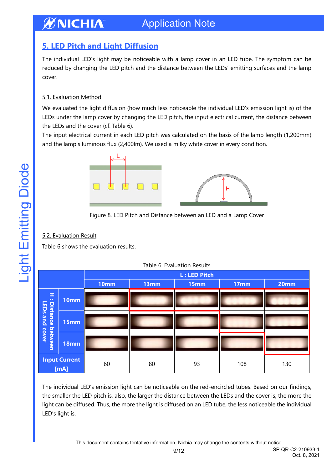### Application Note

### <span id="page-8-0"></span>**5. LED Pitch and Light Diffusion**

The individual LED's light may be noticeable with a lamp cover in an LED tube. The symptom can be reduced by changing the LED pitch and the distance between the LEDs' emitting surfaces and the lamp cover.

#### 5.1. Evaluation Method

We evaluated the light diffusion (how much less noticeable the individual LED's emission light is) of the LEDs under the lamp cover by changing the LED pitch, the input electrical current, the distance between the LEDs and the cover (cf. Table 6).

The input electrical current in each LED pitch was calculated on the basis of the lamp length (1,200mm) and the lamp's luminous flux (2,400lm). We used a milky white cover in every condition.



Figure 8. LED Pitch and Distance between an LED and a Lamp Cover

#### 5.2. Evaluation Result

Table 6 shows the evaluation results.

|                             |                              | <b>L: LED Pitch</b> |      |      |                  |      |
|-----------------------------|------------------------------|---------------------|------|------|------------------|------|
|                             |                              | 10mm                | 13mm | 15mm | 17 <sub>mm</sub> | 20mm |
| z,<br>$\bullet$ $\bullet$   | 10mm                         |                     |      |      |                  |      |
| LEDs and<br><b>Distance</b> | 15mm                         |                     |      |      |                  |      |
| between<br>cover            | 18mm                         |                     |      |      |                  |      |
|                             | <b>Input Current</b><br>[mA] | 60                  | 80   | 93   | 108              | 130  |

|  | Table 6. Evaluation Results |  |
|--|-----------------------------|--|
|  |                             |  |

The individual LED's emission light can be noticeable on the red-encircled tubes. Based on our findings, the smaller the LED pitch is, also, the larger the distance between the LEDs and the cover is, the more the light can be diffused. Thus, the more the light is diffused on an LED tube, the less noticeable the individual LED's light is.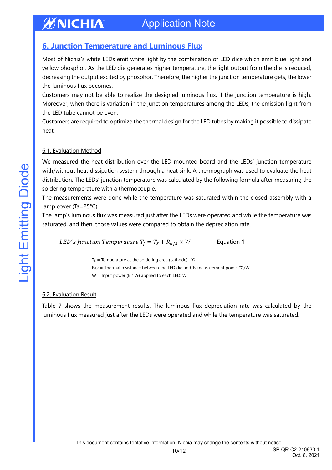### <span id="page-9-0"></span>**6. Junction Temperature and Luminous Flux**

Most of Nichia's white LEDs emit white light by the combination of LED dice which emit blue light and yellow phosphor. As the LED die generates higher temperature, the light output from the die is reduced, decreasing the output excited by phosphor. Therefore, the higher the junction temperature gets, the lower the luminous flux becomes.

Customers may not be able to realize the designed luminous flux, if the junction temperature is high. Moreover, when there is variation in the junction temperatures among the LEDs, the emission light from the LED tube cannot be even.

Customers are required to optimize the thermal design for the LED tubes by making it possible to dissipate heat.

#### 6.1. Evaluation Method

We measured the heat distribution over the LED-mounted board and the LEDs' junction temperature with/without heat dissipation system through a heat sink. A thermograph was used to evaluate the heat distribution. The LEDs' junction temperature was calculated by the following formula after measuring the soldering temperature with a thermocouple.

The measurements were done while the temperature was saturated within the closed assembly with a lamp cover (Ta=25°C).

The lamp's luminous flux was measured just after the LEDs were operated and while the temperature was saturated, and then, those values were compared to obtain the depreciation rate.

LED's Junction Temperature  $T_J = T_S + R_{\theta J S} \times W$  Equation 1

T<sub>S</sub> = Temperature at the soldering area (cathode):  $°C$ 

R<sub>θJS</sub> = Thermal resistance between the LED die and Ts measurement point: <sup>°</sup>C/W

W = Input power ( $I_F * V_F$ ) applied to each LED: W

#### 6.2. Evaluation Result

Table 7 shows the measurement results. The luminous flux depreciation rate was calculated by the luminous flux measured just after the LEDs were operated and while the temperature was saturated.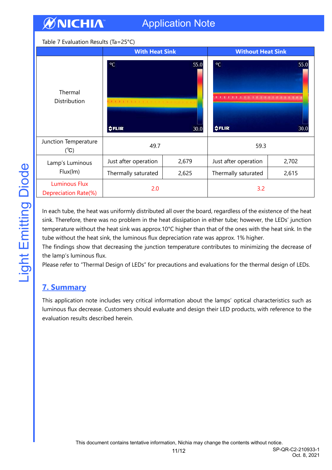#### Table 7 Evaluation Results (Ta=25°C)

|                                              | <b>With Heat Sink</b>                        |       | <b>Without Heat Sink</b>                                                              |       |
|----------------------------------------------|----------------------------------------------|-------|---------------------------------------------------------------------------------------|-------|
| Thermal<br>Distribution                      | $^{\circ}$ C<br>55.0<br><b>OFLIR</b><br>30.0 |       | $\rm ^{\circ}C$<br>55.0<br>A LEFT FOR A LEWIS CONSUMER WAS ARRESTED<br>\$FLIR<br>30.0 |       |
| Junction Temperature<br>$(^{\circ}C)$        | 49.7                                         |       | 59.3                                                                                  |       |
| Lamp's Luminous                              | Just after operation                         | 2,679 | Just after operation                                                                  | 2,702 |
| Flux(lm)                                     | Thermally saturated                          | 2,625 | Thermally saturated                                                                   | 2,615 |
| <b>Luminous Flux</b><br>Depreciation Rate(%) | 2.0                                          |       | 3.2                                                                                   |       |

In each tube, the heat was uniformly distributed all over the board, regardless of the existence of the heat sink. Therefore, there was no problem in the heat dissipation in either tube; however, the LEDs' junction temperature without the heat sink was approx.10°C higher than that of the ones with the heat sink. In the tube without the heat sink, the luminous flux depreciation rate was approx. 1% higher.

The findings show that decreasing the junction temperature contributes to minimizing the decrease of the lamp's luminous flux.

Please refer to "Thermal Design of LEDs" for precautions and evaluations for the thermal design of LEDs.

#### <span id="page-10-0"></span>**7. Summary**

This application note includes very critical information about the lamps' optical characteristics such as luminous flux decrease. Customers should evaluate and design their LED products, with reference to the evaluation results described herein.